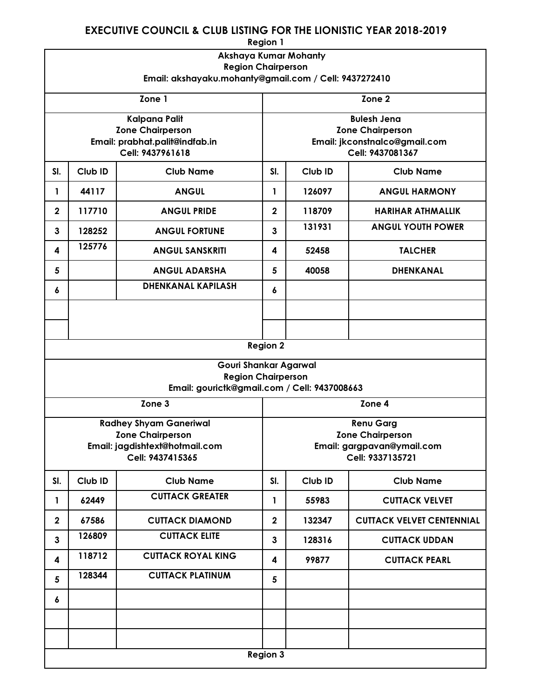## EXECUTIVE COUNCIL & CLUB LISTING FOR THE LIONISTIC YEAR 2018-2019

| <b>Region 1</b>                                       |                  |                                |                               |                   |                                  |  |
|-------------------------------------------------------|------------------|--------------------------------|-------------------------------|-------------------|----------------------------------|--|
| Akshaya Kumar Mohanty                                 |                  |                                |                               |                   |                                  |  |
| <b>Region Chairperson</b>                             |                  |                                |                               |                   |                                  |  |
| Email: akshayaku.mohanty@gmail.com / Cell: 9437272410 |                  |                                |                               |                   |                                  |  |
| Zone 1                                                |                  |                                |                               | Zone <sub>2</sub> |                                  |  |
|                                                       |                  | <b>Kalpana Palit</b>           |                               |                   | <b>Bulesh Jena</b>               |  |
|                                                       |                  | <b>Zone Chairperson</b>        | <b>Zone Chairperson</b>       |                   |                                  |  |
|                                                       |                  | Email: prabhat.palit@indfab.in | Email: jkconstnalco@gmail.com |                   |                                  |  |
|                                                       | Cell: 9437961618 |                                |                               | Cell: 9437081367  |                                  |  |
| SI.                                                   | Club ID          | <b>Club Name</b>               | SI.                           | Club ID           | <b>Club Name</b>                 |  |
| 1                                                     | 44117            | <b>ANGUL</b>                   | 1                             | 126097            | <b>ANGUL HARMONY</b>             |  |
| $\mathbf{2}$                                          | 117710           | <b>ANGUL PRIDE</b>             | $\mathbf{2}$                  | 118709            | <b>HARIHAR ATHMALLIK</b>         |  |
| $\mathbf{3}$                                          | 128252           | <b>ANGUL FORTUNE</b>           | $\overline{3}$                | 131931            | <b>ANGUL YOUTH POWER</b>         |  |
| 4                                                     | 125776           | <b>ANGUL SANSKRITI</b>         | 4                             | 52458             | <b>TALCHER</b>                   |  |
| 5                                                     |                  | <b>ANGUL ADARSHA</b>           | 5                             | 40058             | <b>DHENKANAL</b>                 |  |
| 6                                                     |                  | <b>DHENKANAL KAPILASH</b>      | 6                             |                   |                                  |  |
|                                                       |                  |                                |                               |                   |                                  |  |
|                                                       |                  |                                |                               |                   |                                  |  |
|                                                       |                  |                                | <b>Region 2</b>               |                   |                                  |  |
|                                                       |                  | Gouri Shankar Agarwal          |                               |                   |                                  |  |
|                                                       |                  | <b>Region Chairperson</b>      |                               |                   |                                  |  |
| Email: gourictk@gmail.com / Cell: 9437008663          |                  |                                |                               |                   |                                  |  |
| Zone <sub>3</sub><br>Zone 4                           |                  |                                |                               |                   |                                  |  |
|                                                       |                  | <b>Radhey Shyam Ganeriwal</b>  | <b>Renu Garg</b>              |                   |                                  |  |
|                                                       |                  | <b>Zone Chairperson</b>        | <b>Zone Chairperson</b>       |                   |                                  |  |
|                                                       |                  | Email: jagdishtext@hotmail.com | Email: gargpavan@ymail.com    |                   |                                  |  |
|                                                       | Cell: 9437415365 |                                |                               | Cell: 9337135721  |                                  |  |
| SI.                                                   | Club ID          | <b>Club Name</b>               | SI.                           | Club ID           | <b>Club Name</b>                 |  |
| 1                                                     | 62449            | <b>CUTTACK GREATER</b>         | 1                             | 55983             | <b>CUTTACK VELVET</b>            |  |
| $\overline{2}$                                        | 67586            | <b>CUTTACK DIAMOND</b>         | $\overline{2}$                | 132347            | <b>CUTTACK VELVET CENTENNIAL</b> |  |
| $\mathbf{3}$                                          | 126809           | <b>CUTTACK ELITE</b>           | $\mathbf{3}$                  | 128316            | <b>CUTTACK UDDAN</b>             |  |
| 4                                                     | 118712           | <b>CUTTACK ROYAL KING</b>      | 4                             | 99877             | <b>CUTTACK PEARL</b>             |  |
| 5                                                     | 128344           | <b>CUTTACK PLATINUM</b>        | 5                             |                   |                                  |  |
| 6                                                     |                  |                                |                               |                   |                                  |  |
|                                                       |                  |                                |                               |                   |                                  |  |
|                                                       |                  |                                |                               |                   |                                  |  |
| <b>Region 3</b>                                       |                  |                                |                               |                   |                                  |  |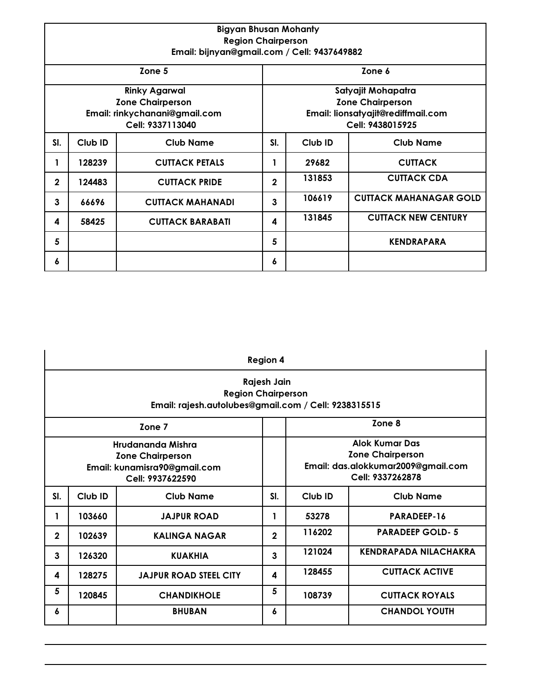| <b>Bigyan Bhusan Mohanty</b><br><b>Region Chairperson</b><br>Email: bijnyan@gmail.com / Cell: 9437649882 |         |                         |                                                                                                         |         |                               |  |
|----------------------------------------------------------------------------------------------------------|---------|-------------------------|---------------------------------------------------------------------------------------------------------|---------|-------------------------------|--|
| Zone 5                                                                                                   |         |                         | Zone 6                                                                                                  |         |                               |  |
| <b>Rinky Agarwal</b><br><b>Zone Chairperson</b><br>Email: rinkychanani@gmail.com<br>Cell: 9337113040     |         |                         | Satyajit Mohapatra<br><b>Zone Chairperson</b><br>Email: lionsatyajit@rediffmail.com<br>Cell: 9438015925 |         |                               |  |
| SI.                                                                                                      | Club ID | <b>Club Name</b>        | SI.                                                                                                     | Club ID | <b>Club Name</b>              |  |
| 1                                                                                                        | 128239  | <b>CUTTACK PETALS</b>   |                                                                                                         | 29682   | <b>CUTTACK</b>                |  |
| $\mathbf{2}$                                                                                             | 124483  | <b>CUTTACK PRIDE</b>    | $\mathbf{2}$                                                                                            | 131853  | <b>CUTTACK CDA</b>            |  |
| 3                                                                                                        | 66696   | <b>CUTTACK MAHANADI</b> | 3                                                                                                       | 106619  | <b>CUTTACK MAHANAGAR GOLD</b> |  |
| 4                                                                                                        | 58425   | <b>CUTTACK BARABATI</b> | 4                                                                                                       | 131845  | <b>CUTTACK NEW CENTURY</b>    |  |
| 5                                                                                                        |         |                         | 5                                                                                                       |         | <b>KENDRAPARA</b>             |  |
| 6                                                                                                        |         |                         | 6                                                                                                       |         |                               |  |

| <b>Region 4</b>                                                                                  |         |                               |              |                                                                                                            |                              |  |
|--------------------------------------------------------------------------------------------------|---------|-------------------------------|--------------|------------------------------------------------------------------------------------------------------------|------------------------------|--|
| Rajesh Jain<br><b>Region Chairperson</b><br>Email: rajesh.autolubes@gmail.com / Cell: 9238315515 |         |                               |              |                                                                                                            |                              |  |
| Zone 7                                                                                           |         |                               |              | Zone 8                                                                                                     |                              |  |
| Hrudananda Mishra<br><b>Zone Chairperson</b><br>Email: kunamisra90@gmail.com<br>Cell: 9937622590 |         |                               |              | <b>Alok Kumar Das</b><br><b>Zone Chairperson</b><br>Email: das.alokkumar2009@gmail.com<br>Cell: 9337262878 |                              |  |
| SI.                                                                                              | Club ID | <b>Club Name</b>              | SI.          | Club ID                                                                                                    | <b>Club Name</b>             |  |
| 1                                                                                                | 103660  | <b>JAJPUR ROAD</b>            | 1            | 53278                                                                                                      | PARADEEP-16                  |  |
| $\mathbf{2}$                                                                                     | 102639  | <b>KALINGA NAGAR</b>          | $\mathbf{2}$ | 116202                                                                                                     | <b>PARADEEP GOLD-5</b>       |  |
| 3                                                                                                | 126320  | <b>KUAKHIA</b>                | 3            | 121024                                                                                                     | <b>KENDRAPADA NILACHAKRA</b> |  |
| 4                                                                                                | 128275  | <b>JAJPUR ROAD STEEL CITY</b> | 4            | 128455                                                                                                     | <b>CUTTACK ACTIVE</b>        |  |
| 5                                                                                                | 120845  | <b>CHANDIKHOLE</b>            | 5            | 108739                                                                                                     | <b>CUTTACK ROYALS</b>        |  |
| 6                                                                                                |         | <b>BHUBAN</b>                 | 6            |                                                                                                            | <b>CHANDOL YOUTH</b>         |  |